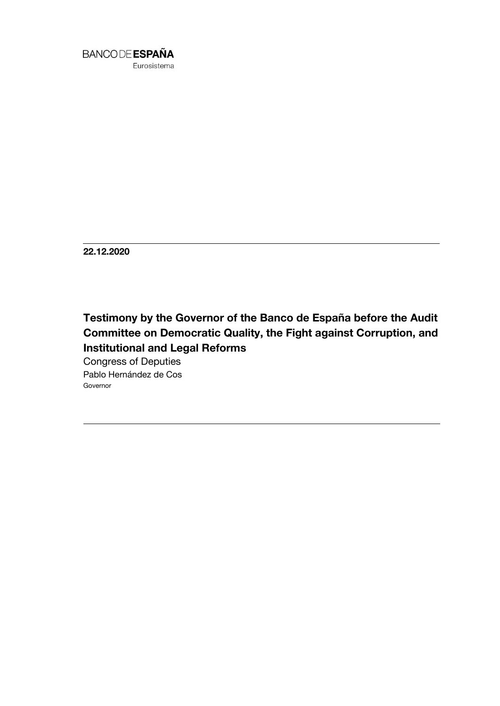

**22.12.2020**

# **Testimony by the Governor of the Banco de España before the Audit Committee on Democratic Quality, the Fight against Corruption, and Institutional and Legal Reforms**

Congress of Deputies Pablo Hernández de Cos Governor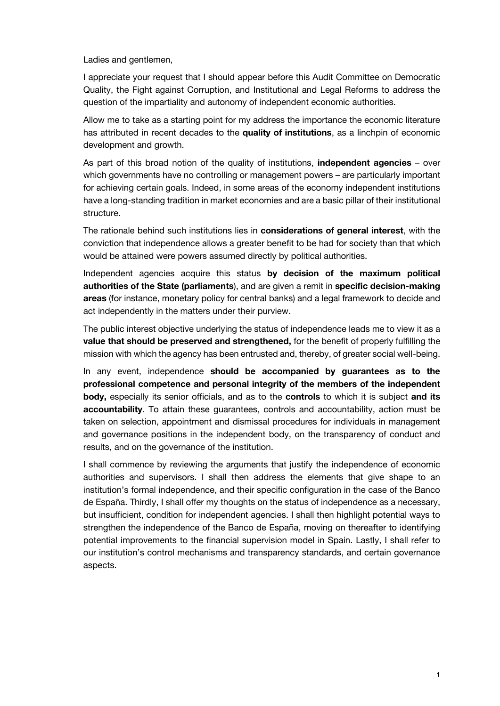Ladies and gentlemen,

I appreciate your request that I should appear before this Audit Committee on Democratic Quality, the Fight against Corruption, and Institutional and Legal Reforms to address the question of the impartiality and autonomy of independent economic authorities.

Allow me to take as a starting point for my address the importance the economic literature has attributed in recent decades to the **quality of institutions**, as a linchpin of economic development and growth.

As part of this broad notion of the quality of institutions, **independent agencies** – over which governments have no controlling or management powers – are particularly important for achieving certain goals. Indeed, in some areas of the economy independent institutions have a long-standing tradition in market economies and are a basic pillar of their institutional structure.

The rationale behind such institutions lies in **considerations of general interest**, with the conviction that independence allows a greater benefit to be had for society than that which would be attained were powers assumed directly by political authorities.

Independent agencies acquire this status **by decision of the maximum political authorities of the State (parliaments**), and are given a remit in **specific decision-making areas** (for instance, monetary policy for central banks) and a legal framework to decide and act independently in the matters under their purview.

The public interest objective underlying the status of independence leads me to view it as a **value that should be preserved and strengthened,** for the benefit of properly fulfilling the mission with which the agency has been entrusted and, thereby, of greater social well-being.

In any event, independence **should be accompanied by guarantees as to the professional competence and personal integrity of the members of the independent body,** especially its senior officials, and as to the **controls** to which it is subject **and its accountability**. To attain these guarantees, controls and accountability, action must be taken on selection, appointment and dismissal procedures for individuals in management and governance positions in the independent body, on the transparency of conduct and results, and on the governance of the institution.

I shall commence by reviewing the arguments that justify the independence of economic authorities and supervisors. I shall then address the elements that give shape to an institution's formal independence, and their specific configuration in the case of the Banco de España. Thirdly, I shall offer my thoughts on the status of independence as a necessary, but insufficient, condition for independent agencies. I shall then highlight potential ways to strengthen the independence of the Banco de España, moving on thereafter to identifying potential improvements to the financial supervision model in Spain. Lastly, I shall refer to our institution's control mechanisms and transparency standards, and certain governance aspects.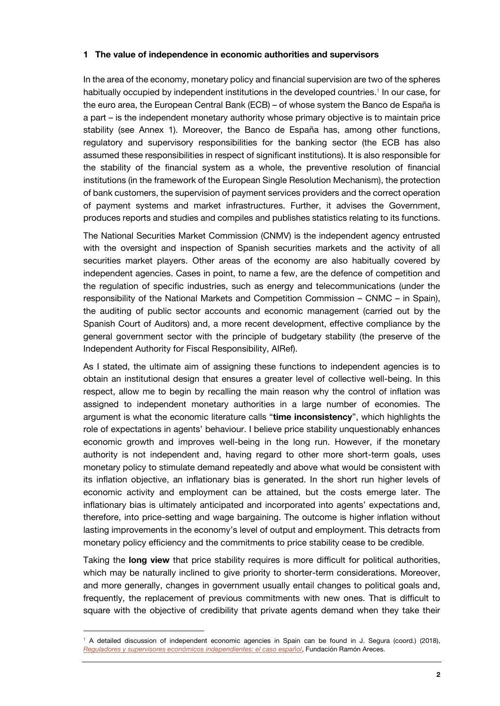## **1 The value of independence in economic authorities and supervisors**

In the area of the economy, monetary policy and financial supervision are two of the spheres habitually occupied by independent institutions in the developed countries.<sup>1</sup> In our case, for the euro area, the European Central Bank (ECB) – of whose system the Banco de España is a part – is the independent monetary authority whose primary objective is to maintain price stability (see Annex 1). Moreover, the Banco de España has, among other functions, regulatory and supervisory responsibilities for the banking sector (the ECB has also assumed these responsibilities in respect of significant institutions). It is also responsible for the stability of the financial system as a whole, the preventive resolution of financial institutions (in the framework of the European Single Resolution Mechanism), the protection of bank customers, the supervision of payment services providers and the correct operation of payment systems and market infrastructures. Further, it advises the Government, produces reports and studies and compiles and publishes statistics relating to its functions.

The National Securities Market Commission (CNMV) is the independent agency entrusted with the oversight and inspection of Spanish securities markets and the activity of all securities market players. Other areas of the economy are also habitually covered by independent agencies. Cases in point, to name a few, are the defence of competition and the regulation of specific industries, such as energy and telecommunications (under the responsibility of the National Markets and Competition Commission – CNMC – in Spain), the auditing of public sector accounts and economic management (carried out by the Spanish Court of Auditors) and, a more recent development, effective compliance by the general government sector with the principle of budgetary stability (the preserve of the Independent Authority for Fiscal Responsibility, AIRef).

As I stated, the ultimate aim of assigning these functions to independent agencies is to obtain an institutional design that ensures a greater level of collective well-being. In this respect, allow me to begin by recalling the main reason why the control of inflation was assigned to independent monetary authorities in a large number of economies. The argument is what the economic literature calls "**time inconsistency**", which highlights the role of expectations in agents' behaviour. I believe price stability unquestionably enhances economic growth and improves well-being in the long run. However, if the monetary authority is not independent and, having regard to other more short-term goals, uses monetary policy to stimulate demand repeatedly and above what would be consistent with its inflation objective, an inflationary bias is generated. In the short run higher levels of economic activity and employment can be attained, but the costs emerge later. The inflationary bias is ultimately anticipated and incorporated into agents' expectations and, therefore, into price-setting and wage bargaining. The outcome is higher inflation without lasting improvements in the economy's level of output and employment. This detracts from monetary policy efficiency and the commitments to price stability cease to be credible.

Taking the **long view** that price stability requires is more difficult for political authorities, which may be naturally inclined to give priority to shorter-term considerations. Moreover, and more generally, changes in government usually entail changes to political goals and, frequently, the replacement of previous commitments with new ones. That is difficult to square with the objective of credibility that private agents demand when they take their

<sup>1</sup> A detailed discussion of independent economic agencies in Spain can be found in J. Segura (coord.) (2018), *[Reguladores y supervisores económicos independientes: el caso español](https://www.fundacionareces.es/recursos/doc/portal/2018/05/03/reguladores-y-supervisores-economicos.pdf)*, Fundación Ramón Areces.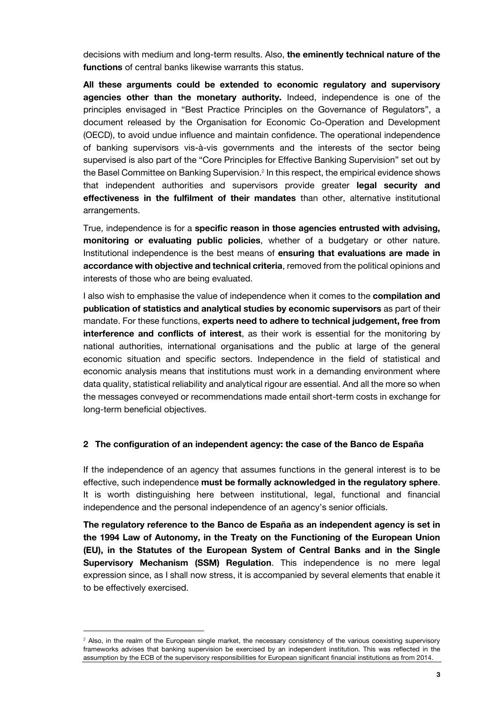decisions with medium and long-term results. Also, **the eminently technical nature of the functions** of central banks likewise warrants this status.

**All these arguments could be extended to economic regulatory and supervisory agencies other than the monetary authority.** Indeed, independence is one of the principles envisaged in "Best Practice Principles on the Governance of Regulators", a document released by the Organisation for Economic Co-Operation and Development (OECD), to avoid undue influence and maintain confidence. The operational independence of banking supervisors vis-à-vis governments and the interests of the sector being supervised is also part of the "Core Principles for Effective Banking Supervision" set out by the Basel Committee on Banking Supervision.<sup>2</sup> In this respect, the empirical evidence shows that independent authorities and supervisors provide greater **legal security and effectiveness in the fulfilment of their mandates** than other, alternative institutional arrangements.

True, independence is for a **specific reason in those agencies entrusted with advising, monitoring or evaluating public policies**, whether of a budgetary or other nature. Institutional independence is the best means of **ensuring that evaluations are made in accordance with objective and technical criteria**, removed from the political opinions and interests of those who are being evaluated.

I also wish to emphasise the value of independence when it comes to the **compilation and publication of statistics and analytical studies by economic supervisors** as part of their mandate. For these functions, **experts need to adhere to technical judgement, free from interference and conflicts of interest**, as their work is essential for the monitoring by national authorities, international organisations and the public at large of the general economic situation and specific sectors. Independence in the field of statistical and economic analysis means that institutions must work in a demanding environment where data quality, statistical reliability and analytical rigour are essential. And all the more so when the messages conveyed or recommendations made entail short-term costs in exchange for long-term beneficial objectives.

#### **2 The configuration of an independent agency: the case of the Banco de España**

If the independence of an agency that assumes functions in the general interest is to be effective, such independence **must be formally acknowledged in the regulatory sphere**. It is worth distinguishing here between institutional, legal, functional and financial independence and the personal independence of an agency's senior officials.

**The regulatory reference to the Banco de España as an independent agency is set in the 1994 Law of Autonomy, in the Treaty on the Functioning of the European Union (EU), in the Statutes of the European System of Central Banks and in the Single Supervisory Mechanism (SSM) Regulation**. This independence is no mere legal expression since, as I shall now stress, it is accompanied by several elements that enable it to be effectively exercised.

 $2$  Also, in the realm of the European single market, the necessary consistency of the various coexisting supervisory frameworks advises that banking supervision be exercised by an independent institution. This was reflected in the assumption by the ECB of the supervisory responsibilities for European significant financial institutions as from 2014.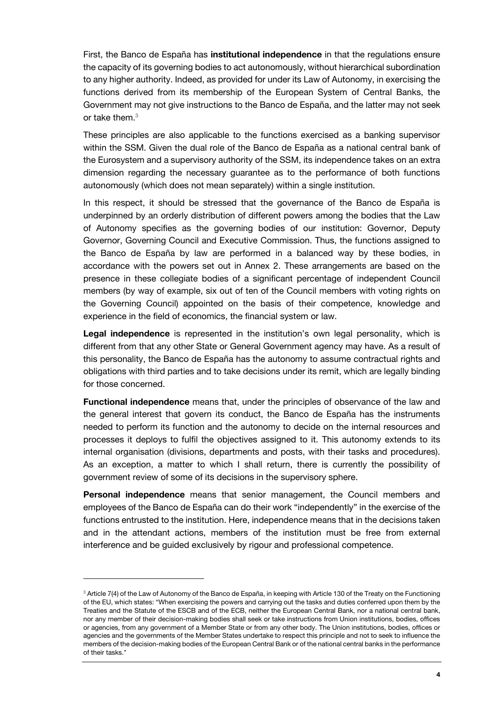First, the Banco de España has **institutional independence** in that the regulations ensure the capacity of its governing bodies to act autonomously, without hierarchical subordination to any higher authority. Indeed, as provided for under its Law of Autonomy, in exercising the functions derived from its membership of the European System of Central Banks, the Government may not give instructions to the Banco de España, and the latter may not seek or take them.<sup>3</sup>

These principles are also applicable to the functions exercised as a banking supervisor within the SSM. Given the dual role of the Banco de España as a national central bank of the Eurosystem and a supervisory authority of the SSM, its independence takes on an extra dimension regarding the necessary guarantee as to the performance of both functions autonomously (which does not mean separately) within a single institution.

In this respect, it should be stressed that the governance of the Banco de España is underpinned by an orderly distribution of different powers among the bodies that the Law of Autonomy specifies as the governing bodies of our institution: Governor, Deputy Governor, Governing Council and Executive Commission. Thus, the functions assigned to the Banco de España by law are performed in a balanced way by these bodies, in accordance with the powers set out in Annex 2. These arrangements are based on the presence in these collegiate bodies of a significant percentage of independent Council members (by way of example, six out of ten of the Council members with voting rights on the Governing Council) appointed on the basis of their competence, knowledge and experience in the field of economics, the financial system or law.

**Legal independence** is represented in the institution's own legal personality, which is different from that any other State or General Government agency may have. As a result of this personality, the Banco de España has the autonomy to assume contractual rights and obligations with third parties and to take decisions under its remit, which are legally binding for those concerned.

**Functional independence** means that, under the principles of observance of the law and the general interest that govern its conduct, the Banco de España has the instruments needed to perform its function and the autonomy to decide on the internal resources and processes it deploys to fulfil the objectives assigned to it. This autonomy extends to its internal organisation (divisions, departments and posts, with their tasks and procedures). As an exception, a matter to which I shall return, there is currently the possibility of government review of some of its decisions in the supervisory sphere.

**Personal independence** means that senior management, the Council members and employees of the Banco de España can do their work "independently" in the exercise of the functions entrusted to the institution. Here, independence means that in the decisions taken and in the attendant actions, members of the institution must be free from external interference and be guided exclusively by rigour and professional competence.

j

<sup>&</sup>lt;sup>3</sup> Article 7(4) of the Law of Autonomy of the Banco de España, in keeping with Article 130 of the Treaty on the Functioning of the EU, which states: "When exercising the powers and carrying out the tasks and duties conferred upon them by the Treaties and the Statute of the ESCB and of the ECB, neither the European Central Bank, nor a national central bank, nor any member of their decision-making bodies shall seek or take instructions from Union institutions, bodies, offices or agencies, from any government of a Member State or from any other body. The Union institutions, bodies, offices or agencies and the governments of the Member States undertake to respect this principle and not to seek to influence the members of the decision-making bodies of the European Central Bank or of the national central banks in the performance of their tasks."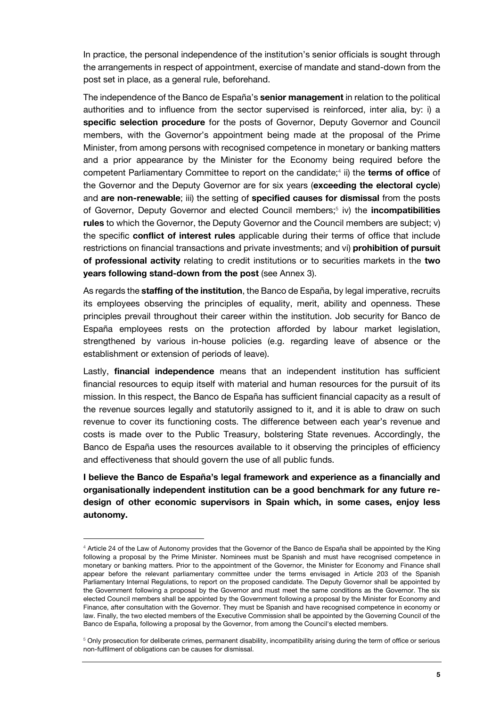In practice, the personal independence of the institution's senior officials is sought through the arrangements in respect of appointment, exercise of mandate and stand-down from the post set in place, as a general rule, beforehand.

The independence of the Banco de España's **senior management** in relation to the political authorities and to influence from the sector supervised is reinforced, inter alia, by: i) a **specific selection procedure** for the posts of Governor, Deputy Governor and Council members, with the Governor's appointment being made at the proposal of the Prime Minister, from among persons with recognised competence in monetary or banking matters and a prior appearance by the Minister for the Economy being required before the competent Parliamentary Committee to report on the candidate;<sup>4</sup> ii) the terms of office of the Governor and the Deputy Governor are for six years (**exceeding the electoral cycle**) and **are non-renewable**; iii) the setting of **specified causes for dismissal** from the posts of Governor, Deputy Governor and elected Council members;<sup>5</sup> iv) the **incompatibilities rules** to which the Governor, the Deputy Governor and the Council members are subject; v) the specific **conflict of interest rules** applicable during their terms of office that include restrictions on financial transactions and private investments; and vi) **prohibition of pursuit of professional activity** relating to credit institutions or to securities markets in the **two years following stand-down from the post** (see Annex 3).

As regards the **staffing of the institution**, the Banco de España, by legal imperative, recruits its employees observing the principles of equality, merit, ability and openness. These principles prevail throughout their career within the institution. Job security for Banco de España employees rests on the protection afforded by labour market legislation, strengthened by various in-house policies (e.g. regarding leave of absence or the establishment or extension of periods of leave).

Lastly, **financial independence** means that an independent institution has sufficient financial resources to equip itself with material and human resources for the pursuit of its mission. In this respect, the Banco de España has sufficient financial capacity as a result of the revenue sources legally and statutorily assigned to it, and it is able to draw on such revenue to cover its functioning costs. The difference between each year's revenue and costs is made over to the Public Treasury, bolstering State revenues. Accordingly, the Banco de España uses the resources available to it observing the principles of efficiency and effectiveness that should govern the use of all public funds.

**I believe the Banco de España's legal framework and experience as a financially and organisationally independent institution can be a good benchmark for any future redesign of other economic supervisors in Spain which, in some cases, enjoy less autonomy.**

j

<sup>&</sup>lt;sup>4</sup> Article 24 of the Law of Autonomy provides that the Governor of the Banco de España shall be appointed by the King following a proposal by the Prime Minister. Nominees must be Spanish and must have recognised competence in monetary or banking matters. Prior to the appointment of the Governor, the Minister for Economy and Finance shall appear before the relevant parliamentary committee under the terms envisaged in Article 203 of the Spanish Parliamentary Internal Regulations, to report on the proposed candidate. The Deputy Governor shall be appointed by the Government following a proposal by the Governor and must meet the same conditions as the Governor. The six elected Council members shall be appointed by the Government following a proposal by the Minister for Economy and Finance, after consultation with the Governor. They must be Spanish and have recognised competence in economy or law. Finally, the two elected members of the Executive Commission shall be appointed by the Governing Council of the Banco de España, following a proposal by the Governor, from among the Council's elected members.

<sup>&</sup>lt;sup>5</sup> Only prosecution for deliberate crimes, permanent disability, incompatibility arising during the term of office or serious non-fulfilment of obligations can be causes for dismissal.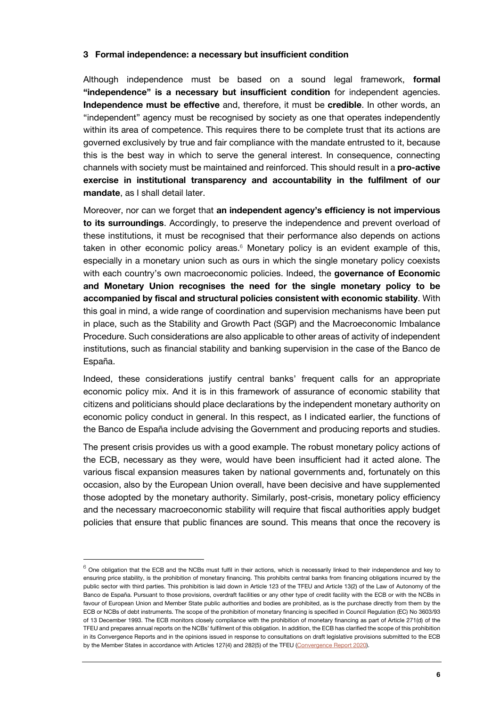## **3 Formal independence: a necessary but insufficient condition**

Although independence must be based on a sound legal framework, **formal "independence" is a necessary but insufficient condition** for independent agencies. **Independence must be effective** and, therefore, it must be **credible**. In other words, an "independent" agency must be recognised by society as one that operates independently within its area of competence. This requires there to be complete trust that its actions are governed exclusively by true and fair compliance with the mandate entrusted to it, because this is the best way in which to serve the general interest. In consequence, connecting channels with society must be maintained and reinforced. This should result in a **pro-active exercise in institutional transparency and accountability in the fulfilment of our mandate**, as I shall detail later.

Moreover, nor can we forget that **an independent agency's efficiency is not impervious to its surroundings**. Accordingly, to preserve the independence and prevent overload of these institutions, it must be recognised that their performance also depends on actions taken in other economic policy areas. $6$  Monetary policy is an evident example of this, especially in a monetary union such as ours in which the single monetary policy coexists with each country's own macroeconomic policies. Indeed, the **governance of Economic and Monetary Union recognises the need for the single monetary policy to be accompanied by fiscal and structural policies consistent with economic stability**. With this goal in mind, a wide range of coordination and supervision mechanisms have been put in place, such as the Stability and Growth Pact (SGP) and the Macroeconomic Imbalance Procedure. Such considerations are also applicable to other areas of activity of independent institutions, such as financial stability and banking supervision in the case of the Banco de España.

Indeed, these considerations justify central banks' frequent calls for an appropriate economic policy mix. And it is in this framework of assurance of economic stability that citizens and politicians should place declarations by the independent monetary authority on economic policy conduct in general. In this respect, as I indicated earlier, the functions of the Banco de España include advising the Government and producing reports and studies.

The present crisis provides us with a good example. The robust monetary policy actions of the ECB, necessary as they were, would have been insufficient had it acted alone. The various fiscal expansion measures taken by national governments and, fortunately on this occasion, also by the European Union overall, have been decisive and have supplemented those adopted by the monetary authority. Similarly, post-crisis, monetary policy efficiency and the necessary macroeconomic stability will require that fiscal authorities apply budget policies that ensure that public finances are sound. This means that once the recovery is

 $6$  One obligation that the ECB and the NCBs must fulfil in their actions, which is necessarily linked to their independence and key to ensuring price stability, is the prohibition of monetary financing. This prohibits central banks from financing obligations incurred by the public sector with third parties. This prohibition is laid down in Article 123 of the TFEU and Article 13(2) of the Law of Autonomy of the Banco de España. Pursuant to those provisions, overdraft facilities or any other type of credit facility with the ECB or with the NCBs in favour of European Union and Member State public authorities and bodies are prohibited, as is the purchase directly from them by the ECB or NCBs of debt instruments. The scope of the prohibition of monetary financing is specified in Council Regulation (EC) No 3603/93 of 13 December 1993. The ECB monitors closely compliance with the prohibition of monetary financing as part of Article 271(d) of the TFEU and prepares annual reports on the NCBs' fulfilment of this obligation. In addition, the ECB has clarified the scope of this prohibition in its Convergence Reports and in the opinions issued in response to consultations on draft legislative provisions submitted to the ECB by the Member States in accordance with Articles 127(4) and 282(5) of the TFEU [\(Convergence Report 2020\).](https://www.ecb.europa.eu/pub/convergence/html/ecb.cr202006~9fefc8d4c0.en.html#toc9)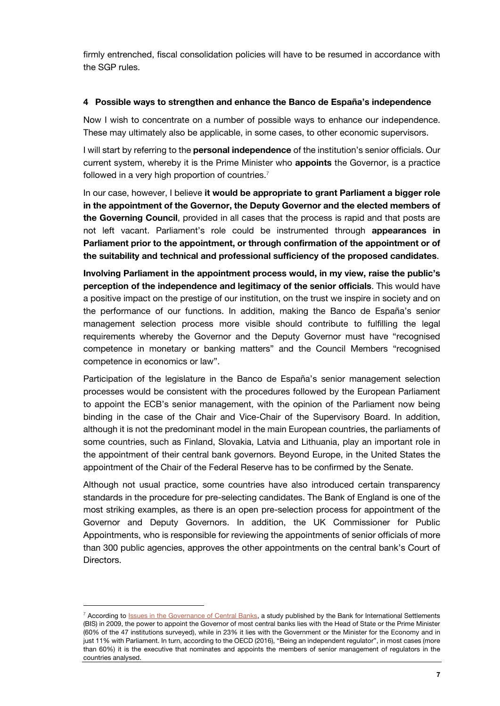firmly entrenched, fiscal consolidation policies will have to be resumed in accordance with the SGP rules.

#### **4 Possible ways to strengthen and enhance the Banco de España's independence**

Now I wish to concentrate on a number of possible ways to enhance our independence. These may ultimately also be applicable, in some cases, to other economic supervisors.

I will start by referring to the **personal independence** of the institution's senior officials. Our current system, whereby it is the Prime Minister who **appoints** the Governor, is a practice followed in a very high proportion of countries.<sup>7</sup>

In our case, however, I believe **it would be appropriate to grant Parliament a bigger role in the appointment of the Governor, the Deputy Governor and the elected members of the Governing Council**, provided in all cases that the process is rapid and that posts are not left vacant. Parliament's role could be instrumented through **appearances in Parliament prior to the appointment, or through confirmation of the appointment or of the suitability and technical and professional sufficiency of the proposed candidates**.

**Involving Parliament in the appointment process would, in my view, raise the public's perception of the independence and legitimacy of the senior officials**. This would have a positive impact on the prestige of our institution, on the trust we inspire in society and on the performance of our functions. In addition, making the Banco de España's senior management selection process more visible should contribute to fulfilling the legal requirements whereby the Governor and the Deputy Governor must have "recognised competence in monetary or banking matters" and the Council Members "recognised competence in economics or law".

Participation of the legislature in the Banco de España's senior management selection processes would be consistent with the procedures followed by the European Parliament to appoint the ECB's senior management, with the opinion of the Parliament now being binding in the case of the Chair and Vice-Chair of the Supervisory Board. In addition, although it is not the predominant model in the main European countries, the parliaments of some countries, such as Finland, Slovakia, Latvia and Lithuania, play an important role in the appointment of their central bank governors. Beyond Europe, in the United States the appointment of the Chair of the Federal Reserve has to be confirmed by the Senate.

Although not usual practice, some countries have also introduced certain transparency standards in the procedure for pre-selecting candidates. The Bank of England is one of the most striking examples, as there is an open pre-selection process for appointment of the Governor and Deputy Governors. In addition, the UK Commissioner for Public Appointments, who is responsible for reviewing the appointments of senior officials of more than 300 public agencies, approves the other appointments on the central bank's Court of Directors.

<sup>&</sup>lt;sup>7</sup> According to **Issues in the Governance of Central Banks**, a study published by the Bank for International Settlements (BIS) in 2009, the power to appoint the Governor of most central banks lies with the Head of State or the Prime Minister (60% of the 47 institutions surveyed), while in 23% it lies with the Government or the Minister for the Economy and in just 11% with Parliament. In turn, according to the OECD (2016), "Being an independent regulator", in most cases (more than 60%) it is the executive that nominates and appoints the members of senior management of regulators in the countries analysed.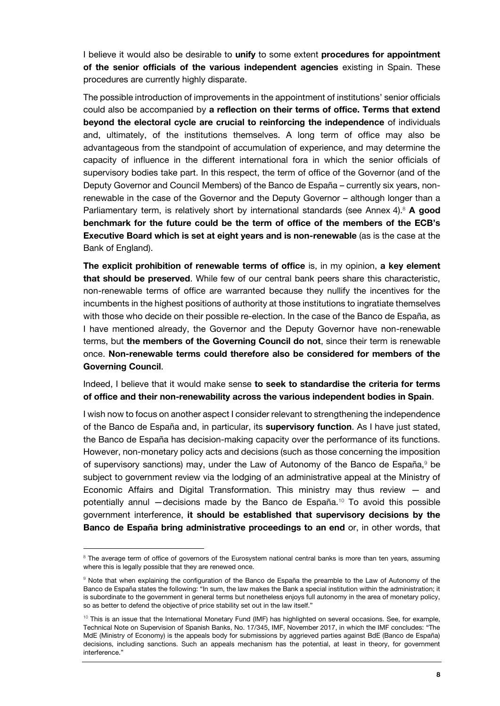I believe it would also be desirable to **unify** to some extent **procedures for appointment of the senior officials of the various independent agencies** existing in Spain. These procedures are currently highly disparate.

The possible introduction of improvements in the appointment of institutions' senior officials could also be accompanied by **a reflection on their terms of office. Terms that extend beyond the electoral cycle are crucial to reinforcing the independence** of individuals and, ultimately, of the institutions themselves. A long term of office may also be advantageous from the standpoint of accumulation of experience, and may determine the capacity of influence in the different international fora in which the senior officials of supervisory bodies take part. In this respect, the term of office of the Governor (and of the Deputy Governor and Council Members) of the Banco de España – currently six years, nonrenewable in the case of the Governor and the Deputy Governor – although longer than a Parliamentary term, is relatively short by international standards (see Annex 4).<sup>8</sup> A good **benchmark for the future could be the term of office of the members of the ECB's Executive Board which is set at eight years and is non-renewable** (as is the case at the Bank of England).

**The explicit prohibition of renewable terms of office** is, in my opinion, **a key element that should be preserved**. While few of our central bank peers share this characteristic, non-renewable terms of office are warranted because they nullify the incentives for the incumbents in the highest positions of authority at those institutions to ingratiate themselves with those who decide on their possible re-election. In the case of the Banco de España, as I have mentioned already, the Governor and the Deputy Governor have non-renewable terms, but **the members of the Governing Council do not**, since their term is renewable once. **Non-renewable terms could therefore also be considered for members of the Governing Council**.

Indeed, I believe that it would make sense **to seek to standardise the criteria for terms of office and their non-renewability across the various independent bodies in Spain**.

I wish now to focus on another aspect I consider relevant to strengthening the independence of the Banco de España and, in particular, its **supervisory function**. As I have just stated, the Banco de España has decision-making capacity over the performance of its functions. However, non-monetary policy acts and decisions (such as those concerning the imposition of supervisory sanctions) may, under the Law of Autonomy of the Banco de España, $9$  be subject to government review via the lodging of an administrative appeal at the Ministry of Economic Affairs and Digital Transformation. This ministry may thus review  $-$  and potentially annul —decisions made by the Banco de España.<sup>10</sup> To avoid this possible government interference, **it should be established that supervisory decisions by the Banco de España bring administrative proceedings to an end** or, in other words, that

j

<sup>&</sup>lt;sup>8</sup> The average term of office of governors of the Eurosystem national central banks is more than ten years, assuming where this is legally possible that they are renewed once.

<sup>&</sup>lt;sup>9</sup> Note that when explaining the configuration of the Banco de España the preamble to the Law of Autonomy of the Banco de España states the following: "In sum, the law makes the Bank a special institution within the administration; it is subordinate to the government in general terms but nonetheless enjoys full autonomy in the area of monetary policy, so as better to defend the objective of price stability set out in the law itself."

 $10$  This is an issue that the International Monetary Fund (IMF) has highlighted on several occasions. See, for example, Technical Note on Supervision of Spanish Banks, No. 17/345, IMF, November 2017, in which the IMF concludes: "The MdE (Ministry of Economy) is the appeals body for submissions by aggrieved parties against BdE (Banco de España) decisions, including sanctions. Such an appeals mechanism has the potential, at least in theory, for government interference."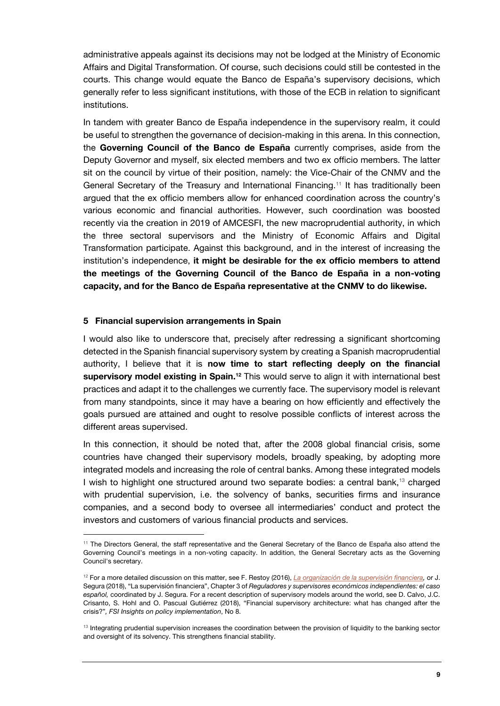administrative appeals against its decisions may not be lodged at the Ministry of Economic Affairs and Digital Transformation. Of course, such decisions could still be contested in the courts. This change would equate the Banco de España's supervisory decisions, which generally refer to less significant institutions, with those of the ECB in relation to significant institutions.

In tandem with greater Banco de España independence in the supervisory realm, it could be useful to strengthen the governance of decision-making in this arena. In this connection, the **Governing Council of the Banco de España** currently comprises, aside from the Deputy Governor and myself, six elected members and two ex officio members. The latter sit on the council by virtue of their position, namely: the Vice-Chair of the CNMV and the General Secretary of the Treasury and International Financing.<sup>11</sup> It has traditionally been argued that the ex officio members allow for enhanced coordination across the country's various economic and financial authorities. However, such coordination was boosted recently via the creation in 2019 of AMCESFI, the new macroprudential authority, in which the three sectoral supervisors and the Ministry of Economic Affairs and Digital Transformation participate. Against this background, and in the interest of increasing the institution's independence, **it might be desirable for the ex officio members to attend the meetings of the Governing Council of the Banco de España in a non-voting capacity, and for the Banco de España representative at the CNMV to do likewise.**

#### **5 Financial supervision arrangements in Spain**

1

I would also like to underscore that, precisely after redressing a significant shortcoming detected in the Spanish financial supervisory system by creating a Spanish macroprudential authority, I believe that it is **now time to start reflecting deeply on the financial supervisory model existing in Spain.<sup>12</sup>** This would serve to align it with international best practices and adapt it to the challenges we currently face. The supervisory model is relevant from many standpoints, since it may have a bearing on how efficiently and effectively the goals pursued are attained and ought to resolve possible conflicts of interest across the different areas supervised.

In this connection, it should be noted that, after the 2008 global financial crisis, some countries have changed their supervisory models, broadly speaking, by adopting more integrated models and increasing the role of central banks. Among these integrated models I wish to highlight one structured around two separate bodies: a central bank,<sup>13</sup> charged with prudential supervision, i.e. the solvency of banks, securities firms and insurance companies, and a second body to oversee all intermediaries' conduct and protect the investors and customers of various financial products and services.

<sup>&</sup>lt;sup>11</sup> The Directors General, the staff representative and the General Secretary of the Banco de España also attend the Governing Council's meetings in a non-voting capacity. In addition, the General Secretary acts as the Governing Council's secretary.

<sup>12</sup> For a more detailed discussion on this matter, see F. Restoy (2016), *[La organización de la supervisión financiera,](https://www.bde.es/f/webbde/GAP/Secciones/SalaPrensa/IntervencionesPublicas/Subgobernador/Arc/Fic/restoy180116.pdf)* or J. Segura (2018), "La supervisión financiera", Chapter 3 of *Reguladores y supervisores económicos independientes: el caso español,* coordinated by J. Segura. For a recent description of supervisory models around the world, see D. Calvo, J.C. Crisanto, S. Hohl and O. Pascual Gutiérrez (2018), "Financial supervisory architecture: what has changed after the crisis?"*, FSI Insights on policy implementation*, No 8.

 $13$  Integrating prudential supervision increases the coordination between the provision of liquidity to the banking sector and oversight of its solvency. This strengthens financial stability.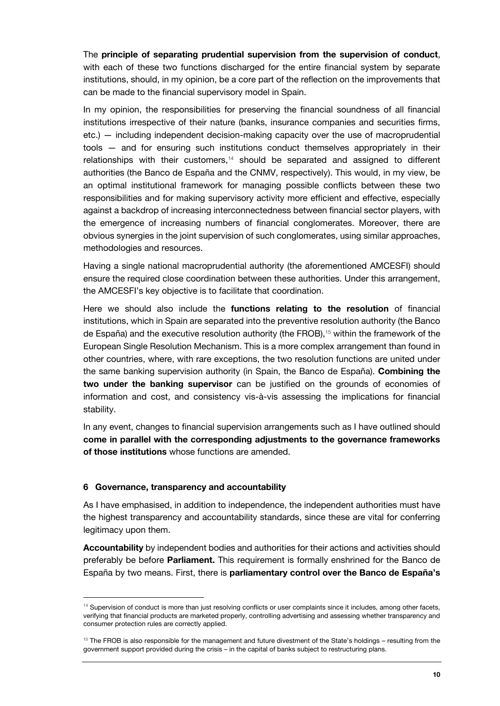The **principle of separating prudential supervision from the supervision of conduct**, with each of these two functions discharged for the entire financial system by separate institutions, should, in my opinion, be a core part of the reflection on the improvements that can be made to the financial supervisory model in Spain.

In my opinion, the responsibilities for preserving the financial soundness of all financial institutions irrespective of their nature (banks, insurance companies and securities firms, etc.) — including independent decision-making capacity over the use of macroprudential tools — and for ensuring such institutions conduct themselves appropriately in their relationships with their customers,<sup>14</sup> should be separated and assigned to different authorities (the Banco de España and the CNMV, respectively). This would, in my view, be an optimal institutional framework for managing possible conflicts between these two responsibilities and for making supervisory activity more efficient and effective, especially against a backdrop of increasing interconnectedness between financial sector players, with the emergence of increasing numbers of financial conglomerates. Moreover, there are obvious synergies in the joint supervision of such conglomerates, using similar approaches, methodologies and resources.

Having a single national macroprudential authority (the aforementioned AMCESFI) should ensure the required close coordination between these authorities. Under this arrangement, the AMCESFI's key objective is to facilitate that coordination.

Here we should also include the **functions relating to the resolution** of financial institutions, which in Spain are separated into the preventive resolution authority (the Banco de España) and the executive resolution authority (the FROB),<sup>15</sup> within the framework of the European Single Resolution Mechanism. This is a more complex arrangement than found in other countries, where, with rare exceptions, the two resolution functions are united under the same banking supervision authority (in Spain, the Banco de España). **Combining the two under the banking supervisor** can be justified on the grounds of economies of information and cost, and consistency vis-à-vis assessing the implications for financial stability.

In any event, changes to financial supervision arrangements such as I have outlined should **come in parallel with the corresponding adjustments to the governance frameworks of those institutions** whose functions are amended.

#### **6 Governance, transparency and accountability**

j

As I have emphasised, in addition to independence, the independent authorities must have the highest transparency and accountability standards, since these are vital for conferring legitimacy upon them.

**Accountability** by independent bodies and authorities for their actions and activities should preferably be before **Parliament.** This requirement is formally enshrined for the Banco de España by two means. First, there is **parliamentary control over the Banco de España's** 

<sup>&</sup>lt;sup>14</sup> Supervision of conduct is more than just resolving conflicts or user complaints since it includes, among other facets, verifying that financial products are marketed properly, controlling advertising and assessing whether transparency and consumer protection rules are correctly applied.

 $15$  The FROB is also responsible for the management and future divestment of the State's holdings – resulting from the government support provided during the crisis – in the capital of banks subject to restructuring plans.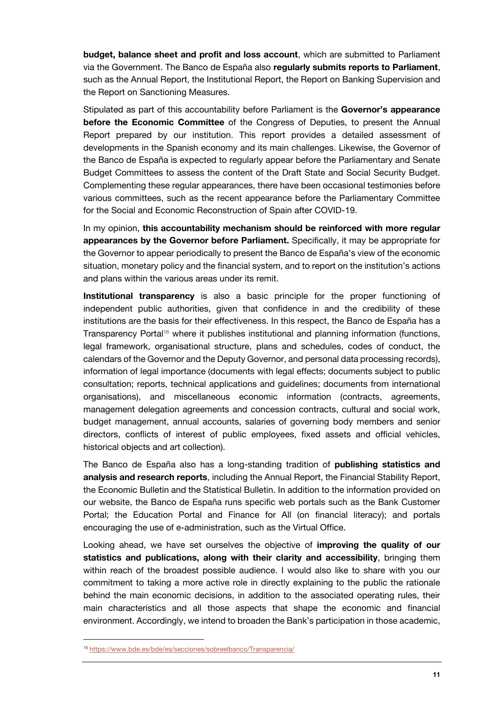**budget, balance sheet and profit and loss account**, which are submitted to Parliament via the Government. The Banco de España also **regularly submits reports to Parliament**, such as the Annual Report, the Institutional Report, the Report on Banking Supervision and the Report on Sanctioning Measures.

Stipulated as part of this accountability before Parliament is the **Governor's appearance before the Economic Committee** of the Congress of Deputies, to present the Annual Report prepared by our institution. This report provides a detailed assessment of developments in the Spanish economy and its main challenges. Likewise, the Governor of the Banco de España is expected to regularly appear before the Parliamentary and Senate Budget Committees to assess the content of the Draft State and Social Security Budget. Complementing these regular appearances, there have been occasional testimonies before various committees, such as the recent appearance before the Parliamentary Committee for the Social and Economic Reconstruction of Spain after COVID-19.

In my opinion, **this accountability mechanism should be reinforced with more regular appearances by the Governor before Parliament.** Specifically, it may be appropriate for the Governor to appear periodically to present the Banco de España's view of the economic situation, monetary policy and the financial system, and to report on the institution's actions and plans within the various areas under its remit.

**Institutional transparency** is also a basic principle for the proper functioning of independent public authorities, given that confidence in and the credibility of these institutions are the basis for their effectiveness. In this respect, the Banco de España has a Transparency Portal<sup>16</sup> where it publishes institutional and planning information (functions, legal framework, organisational structure, plans and schedules, codes of conduct, the calendars of the Governor and the Deputy Governor, and personal data processing records), information of legal importance (documents with legal effects; documents subject to public consultation; reports, technical applications and guidelines; documents from international organisations), and miscellaneous economic information (contracts, agreements, management delegation agreements and concession contracts, cultural and social work, budget management, annual accounts, salaries of governing body members and senior directors, conflicts of interest of public employees, fixed assets and official vehicles, historical objects and art collection).

The Banco de España also has a long-standing tradition of **publishing statistics and analysis and research reports**, including the Annual Report, the Financial Stability Report, the Economic Bulletin and the Statistical Bulletin. In addition to the information provided on our website, the Banco de España runs specific web portals such as the Bank Customer Portal; the Education Portal and Finance for All (on financial literacy); and portals encouraging the use of e-administration, such as the Virtual Office.

Looking ahead, we have set ourselves the objective of **improving the quality of our statistics and publications, along with their clarity and accessibility**, bringing them within reach of the broadest possible audience. I would also like to share with you our commitment to taking a more active role in directly explaining to the public the rationale behind the main economic decisions, in addition to the associated operating rules, their main characteristics and all those aspects that shape the economic and financial environment. Accordingly, we intend to broaden the Bank's participation in those academic,

l

<sup>16</sup> [https://www.bde.es/bde/es/secciones/sobreelbanco/Transparencia/](https://www.bde.es/bde/en/secciones/sobreelbanco/Transparencia/)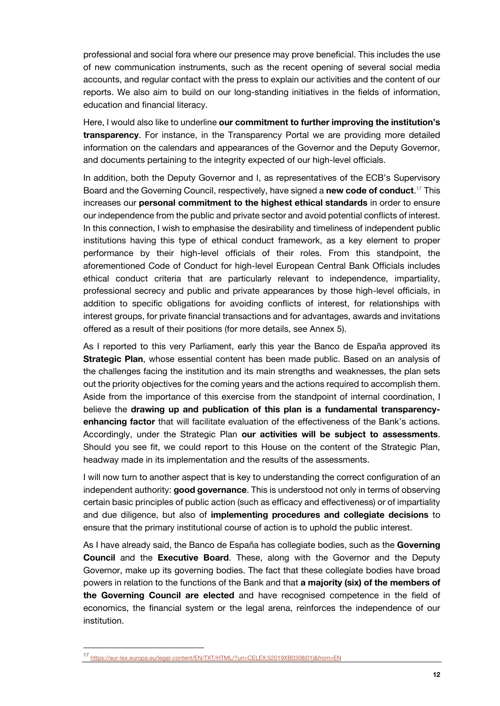professional and social fora where our presence may prove beneficial. This includes the use of new communication instruments, such as the recent opening of several social media accounts, and regular contact with the press to explain our activities and the content of our reports. We also aim to build on our long-standing initiatives in the fields of information, education and financial literacy.

Here, I would also like to underline **our commitment to further improving the institution's transparency**. For instance, in the Transparency Portal we are providing more detailed information on the calendars and appearances of the Governor and the Deputy Governor, and documents pertaining to the integrity expected of our high-level officials.

In addition, both the Deputy Governor and I, as representatives of the ECB's Supervisory Board and the Governing Council, respectively, have signed a **new code of conduct**. <sup>17</sup> This increases our **personal commitment to the highest ethical standards** in order to ensure our independence from the public and private sector and avoid potential conflicts of interest. In this connection, I wish to emphasise the desirability and timeliness of independent public institutions having this type of ethical conduct framework, as a key element to proper performance by their high-level officials of their roles. From this standpoint, the aforementioned Code of Conduct for high-level European Central Bank Officials includes ethical conduct criteria that are particularly relevant to independence, impartiality, professional secrecy and public and private appearances by those high-level officials, in addition to specific obligations for avoiding conflicts of interest, for relationships with interest groups, for private financial transactions and for advantages, awards and invitations offered as a result of their positions (for more details, see Annex 5).

As I reported to this very Parliament, early this year the Banco de España approved its **Strategic Plan**, whose essential content has been made public. Based on an analysis of the challenges facing the institution and its main strengths and weaknesses, the plan sets out the priority objectives for the coming years and the actions required to accomplish them. Aside from the importance of this exercise from the standpoint of internal coordination, I believe the **drawing up and publication of this plan is a fundamental transparencyenhancing factor** that will facilitate evaluation of the effectiveness of the Bank's actions. Accordingly, under the Strategic Plan **our activities will be subject to assessments**. Should you see fit, we could report to this House on the content of the Strategic Plan, headway made in its implementation and the results of the assessments.

I will now turn to another aspect that is key to understanding the correct configuration of an independent authority: **good governance**. This is understood not only in terms of observing certain basic principles of public action (such as efficacy and effectiveness) or of impartiality and due diligence, but also of **implementing procedures and collegiate decisions** to ensure that the primary institutional course of action is to uphold the public interest.

As I have already said, the Banco de España has collegiate bodies, such as the **Governing Council** and the **Executive Board**. These, along with the Governor and the Deputy Governor, make up its governing bodies. The fact that these collegiate bodies have broad powers in relation to the functions of the Bank and that **a majority (six) of the members of the Governing Council are elected** and have recognised competence in the field of economics, the financial system or the legal arena, reinforces the independence of our institution.

j

<sup>17</sup> [https://eur-lex.europa.eu/legal-content/EN/TXT/HTML/?uri=CELEX:52019XB0308\(01\)&from=EN](https://eur-lex.europa.eu/legal-content/EN/TXT/HTML/?uri=CELEX:52019XB0308(01)&from=EN)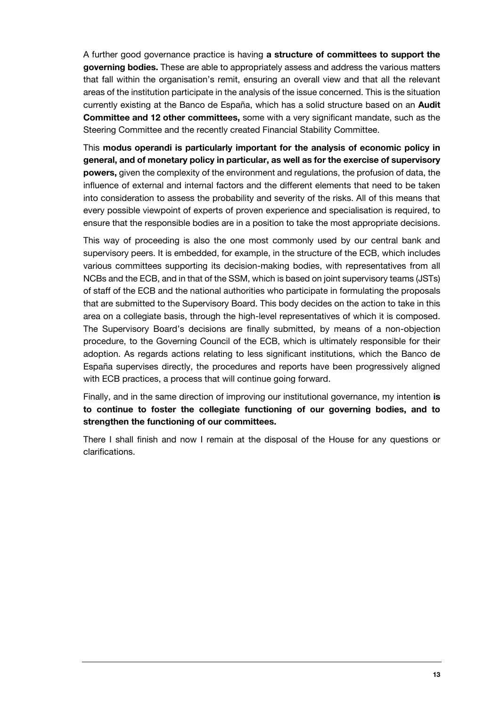A further good governance practice is having **a structure of committees to support the governing bodies.** These are able to appropriately assess and address the various matters that fall within the organisation's remit, ensuring an overall view and that all the relevant areas of the institution participate in the analysis of the issue concerned. This is the situation currently existing at the Banco de España, which has a solid structure based on an **Audit Committee and 12 other committees,** some with a very significant mandate, such as the Steering Committee and the recently created Financial Stability Committee.

This **modus operandi is particularly important for the analysis of economic policy in general, and of monetary policy in particular, as well as for the exercise of supervisory powers,** given the complexity of the environment and regulations, the profusion of data, the influence of external and internal factors and the different elements that need to be taken into consideration to assess the probability and severity of the risks. All of this means that every possible viewpoint of experts of proven experience and specialisation is required, to ensure that the responsible bodies are in a position to take the most appropriate decisions.

This way of proceeding is also the one most commonly used by our central bank and supervisory peers. It is embedded, for example, in the structure of the ECB, which includes various committees supporting its decision-making bodies, with representatives from all NCBs and the ECB, and in that of the SSM, which is based on joint supervisory teams (JSTs) of staff of the ECB and the national authorities who participate in formulating the proposals that are submitted to the Supervisory Board. This body decides on the action to take in this area on a collegiate basis, through the high-level representatives of which it is composed. The Supervisory Board's decisions are finally submitted, by means of a non-objection procedure, to the Governing Council of the ECB, which is ultimately responsible for their adoption. As regards actions relating to less significant institutions, which the Banco de España supervises directly, the procedures and reports have been progressively aligned with ECB practices, a process that will continue going forward.

Finally, and in the same direction of improving our institutional governance, my intention **is to continue to foster the collegiate functioning of our governing bodies, and to strengthen the functioning of our committees.** 

There I shall finish and now I remain at the disposal of the House for any questions or clarifications.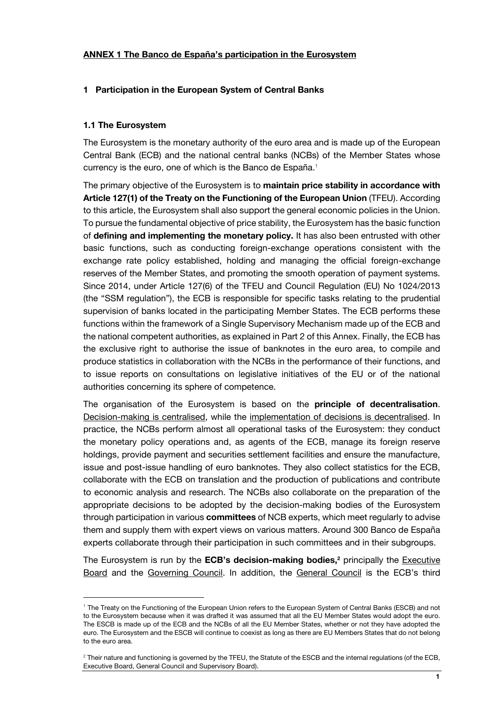## **ANNEX 1 The Banco de España's participation in the Eurosystem**

#### **1 Participation in the European System of Central Banks**

#### **1.1 The Eurosystem**

1

The Eurosystem is the monetary authority of the euro area and is made up of the European Central Bank (ECB) and the national central banks (NCBs) of the Member States whose currency is the euro, one of which is the Banco de España.<sup>1</sup>

The primary objective of the Eurosystem is to **maintain price stability in accordance with Article 127(1) of the Treaty on the Functioning of the European Union** (TFEU). According to this article, the Eurosystem shall also support the general economic policies in the Union. To pursue the fundamental objective of price stability, the Eurosystem has the basic function of **defining and implementing the monetary policy.** It has also been entrusted with other basic functions, such as conducting foreign-exchange operations consistent with the exchange rate policy established, holding and managing the official foreign-exchange reserves of the Member States, and promoting the smooth operation of payment systems. Since 2014, under Article 127(6) of the TFEU and Council Regulation (EU) No 1024/2013 (the "SSM regulation"), the ECB is responsible for specific tasks relating to the prudential supervision of banks located in the participating Member States. The ECB performs these functions within the framework of a Single Supervisory Mechanism made up of the ECB and the national competent authorities, as explained in Part 2 of this Annex. Finally, the ECB has the exclusive right to authorise the issue of banknotes in the euro area, to compile and produce statistics in collaboration with the NCBs in the performance of their functions, and to issue reports on consultations on legislative initiatives of the EU or of the national authorities concerning its sphere of competence.

The organisation of the Eurosystem is based on the **principle of decentralisation**. Decision-making is centralised, while the implementation of decisions is decentralised. In practice, the NCBs perform almost all operational tasks of the Eurosystem: they conduct the monetary policy operations and, as agents of the ECB, manage its foreign reserve holdings, provide payment and securities settlement facilities and ensure the manufacture, issue and post-issue handling of euro banknotes. They also collect statistics for the ECB, collaborate with the ECB on translation and the production of publications and contribute to economic analysis and research. The NCBs also collaborate on the preparation of the appropriate decisions to be adopted by the decision-making bodies of the Eurosystem through participation in various **committees** of NCB experts, which meet regularly to advise them and supply them with expert views on various matters. Around 300 Banco de España experts collaborate through their participation in such committees and in their subgroups.

The Eurosystem is run by the **ECB's decision-making bodies,<sup>2</sup>** principally the Executive Board and the Governing Council. In addition, the General Council is the ECB's third

<sup>1</sup> The Treaty on the Functioning of the European Union refers to the European System of Central Banks (ESCB) and not to the Eurosystem because when it was drafted it was assumed that all the EU Member States would adopt the euro. The ESCB is made up of the ECB and the NCBs of all the EU Member States, whether or not they have adopted the euro. The Eurosystem and the ESCB will continue to coexist as long as there are EU Members States that do not belong to the euro area.

 $2$  Their nature and functioning is governed by the TFEU, the Statute of the ESCB and the internal regulations (of the ECB, Executive Board, General Council and Supervisory Board).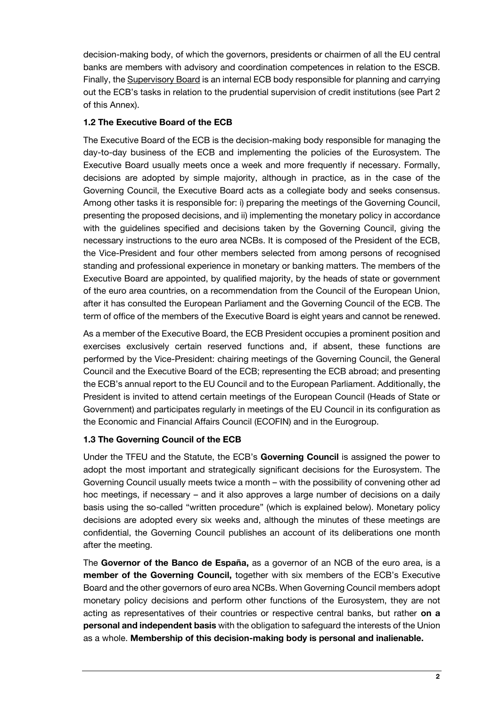decision-making body, of which the governors, presidents or chairmen of all the EU central banks are members with advisory and coordination competences in relation to the ESCB. Finally, the Supervisory Board is an internal ECB body responsible for planning and carrying out the ECB's tasks in relation to the prudential supervision of credit institutions (see Part 2 of this Annex).

# **1.2 The Executive Board of the ECB**

The Executive Board of the ECB is the decision-making body responsible for managing the day-to-day business of the ECB and implementing the policies of the Eurosystem. The Executive Board usually meets once a week and more frequently if necessary. Formally, decisions are adopted by simple majority, although in practice, as in the case of the Governing Council, the Executive Board acts as a collegiate body and seeks consensus. Among other tasks it is responsible for: i) preparing the meetings of the Governing Council, presenting the proposed decisions, and ii) implementing the monetary policy in accordance with the guidelines specified and decisions taken by the Governing Council, giving the necessary instructions to the euro area NCBs. It is composed of the President of the ECB, the Vice-President and four other members selected from among persons of recognised standing and professional experience in monetary or banking matters. The members of the Executive Board are appointed, by qualified majority, by the heads of state or government of the euro area countries, on a recommendation from the Council of the European Union, after it has consulted the European Parliament and the Governing Council of the ECB. The term of office of the members of the Executive Board is eight years and cannot be renewed.

As a member of the Executive Board, the ECB President occupies a prominent position and exercises exclusively certain reserved functions and, if absent, these functions are performed by the Vice-President: chairing meetings of the Governing Council, the General Council and the Executive Board of the ECB; representing the ECB abroad; and presenting the ECB's annual report to the EU Council and to the European Parliament. Additionally, the President is invited to attend certain meetings of the European Council (Heads of State or Government) and participates regularly in meetings of the EU Council in its configuration as the Economic and Financial Affairs Council (ECOFIN) and in the Eurogroup.

# **1.3 The Governing Council of the ECB**

Under the TFEU and the Statute, the ECB's **Governing Council** is assigned the power to adopt the most important and strategically significant decisions for the Eurosystem. The Governing Council usually meets twice a month – with the possibility of convening other ad hoc meetings, if necessary – and it also approves a large number of decisions on a daily basis using the so-called "written procedure" (which is explained below). Monetary policy decisions are adopted every six weeks and, although the minutes of these meetings are confidential, the Governing Council publishes an account of its deliberations one month after the meeting.

The **Governor of the Banco de España,** as a governor of an NCB of the euro area, is a **member of the Governing Council,** together with six members of the ECB's Executive Board and the other governors of euro area NCBs. When Governing Council members adopt monetary policy decisions and perform other functions of the Eurosystem, they are not acting as representatives of their countries or respective central banks, but rather **on a personal and independent basis** with the obligation to safeguard the interests of the Union as a whole. **Membership of this decision-making body is personal and inalienable.**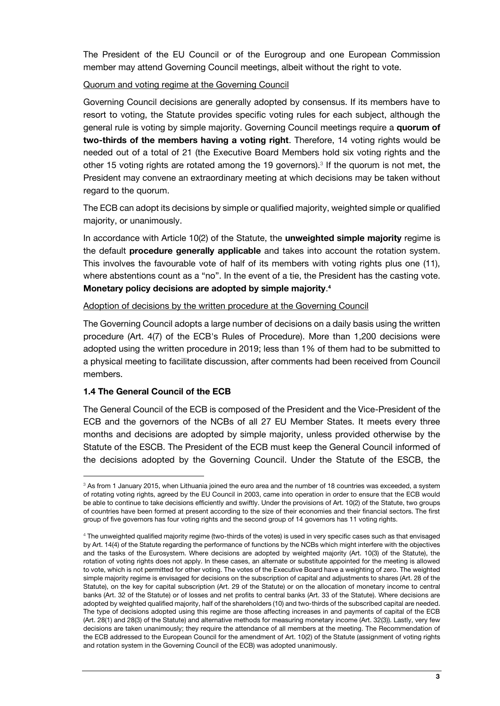The President of the EU Council or of the Eurogroup and one European Commission member may attend Governing Council meetings, albeit without the right to vote.

## Quorum and voting regime at the Governing Council

Governing Council decisions are generally adopted by consensus. If its members have to resort to voting, the Statute provides specific voting rules for each subject, although the general rule is voting by simple majority. Governing Council meetings require a **quorum of two-thirds of the members having a voting right**. Therefore, 14 voting rights would be needed out of a total of 21 (the Executive Board Members hold six voting rights and the other 15 voting rights are rotated among the 19 governors).<sup>3</sup> If the quorum is not met, the President may convene an extraordinary meeting at which decisions may be taken without regard to the quorum.

The ECB can adopt its decisions by simple or qualified majority, weighted simple or qualified majority, or unanimously.

In accordance with Article 10(2) of the Statute, the **unweighted simple majority** regime is the default **procedure generally applicable** and takes into account the rotation system. This involves the favourable vote of half of its members with voting rights plus one (11), where abstentions count as a "no". In the event of a tie, the President has the casting vote. **Monetary policy decisions are adopted by simple majority**. **4**

Adoption of decisions by the written procedure at the Governing Council

The Governing Council adopts a large number of decisions on a daily basis using the written procedure (Art. 4(7) of the ECB's Rules of Procedure). More than 1,200 decisions were adopted using the written procedure in 2019; less than 1% of them had to be submitted to a physical meeting to facilitate discussion, after comments had been received from Council members.

# **1.4 The General Council of the ECB**

l

The General Council of the ECB is composed of the President and the Vice-President of the ECB and the governors of the NCBs of all 27 EU Member States. It meets every three months and decisions are adopted by simple majority, unless provided otherwise by the Statute of the ESCB. The President of the ECB must keep the General Council informed of the decisions adopted by the Governing Council. Under the Statute of the ESCB, the

<sup>&</sup>lt;sup>3</sup> As from 1 January 2015, when Lithuania joined the euro area and the number of 18 countries was exceeded, a system of rotating voting rights, agreed by the EU Council in 2003, came into operation in order to ensure that the ECB would be able to continue to take decisions efficiently and swiftly. Under the provisions of Art. 10(2) of the Statute, two groups of countries have been formed at present according to the size of their economies and their financial sectors. The first group of five governors has four voting rights and the second group of 14 governors has 11 voting rights.

<sup>4</sup> The unweighted qualified majority regime (two-thirds of the votes) is used in very specific cases such as that envisaged by Art. 14(4) of the Statute regarding the performance of functions by the NCBs which might interfere with the objectives and the tasks of the Eurosystem. Where decisions are adopted by weighted majority (Art. 10(3) of the Statute), the rotation of voting rights does not apply. In these cases, an alternate or substitute appointed for the meeting is allowed to vote, which is not permitted for other voting. The votes of the Executive Board have a weighting of zero. The weighted simple majority regime is envisaged for decisions on the subscription of capital and adjustments to shares (Art. 28 of the Statute), on the key for capital subscription (Art. 29 of the Statute) or on the allocation of monetary income to central banks (Art. 32 of the Statute) or of losses and net profits to central banks (Art. 33 of the Statute). Where decisions are adopted by weighted qualified majority, half of the shareholders (10) and two-thirds of the subscribed capital are needed. The type of decisions adopted using this regime are those affecting increases in and payments of capital of the ECB (Art. 28(1) and 28(3) of the Statute) and alternative methods for measuring monetary income (Art. 32(3)). Lastly, very few decisions are taken unanimously; they require the attendance of all members at the meeting. The Recommendation of the ECB addressed to the European Council for the amendment of Art. 10(2) of the Statute (assignment of voting rights and rotation system in the Governing Council of the ECB) was adopted unanimously.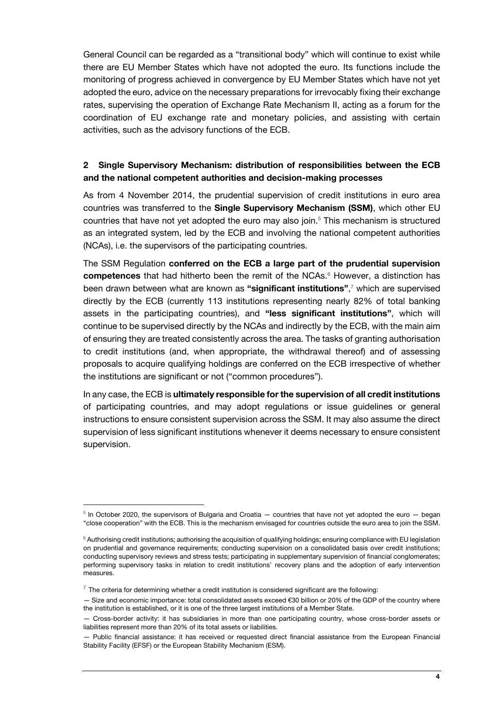General Council can be regarded as a "transitional body" which will continue to exist while there are EU Member States which have not adopted the euro. Its functions include the monitoring of progress achieved in convergence by EU Member States which have not yet adopted the euro, advice on the necessary preparations for irrevocably fixing their exchange rates, supervising the operation of Exchange Rate Mechanism II, acting as a forum for the coordination of EU exchange rate and monetary policies, and assisting with certain activities, such as the advisory functions of the ECB.

## **2 Single Supervisory Mechanism: distribution of responsibilities between the ECB and the national competent authorities and decision-making processes**

As from 4 November 2014, the prudential supervision of credit institutions in euro area countries was transferred to the **Single Supervisory Mechanism (SSM)**, which other EU countries that have not yet adopted the euro may also join.<sup>5</sup> This mechanism is structured as an integrated system, led by the ECB and involving the national competent authorities (NCAs), i.e. the supervisors of the participating countries.

The SSM Regulation **conferred on the ECB a large part of the prudential supervision competences** that had hitherto been the remit of the NCAs.<sup>6</sup> However, a distinction has been drawn between what are known as **"significant institutions"**, <sup>7</sup> which are supervised directly by the ECB (currently 113 institutions representing nearly 82% of total banking assets in the participating countries), and **"less significant institutions"**, which will continue to be supervised directly by the NCAs and indirectly by the ECB, with the main aim of ensuring they are treated consistently across the area. The tasks of granting authorisation to credit institutions (and, when appropriate, the withdrawal thereof) and of assessing proposals to acquire qualifying holdings are conferred on the ECB irrespective of whether the institutions are significant or not ("common procedures").

In any case, the ECB is **ultimately responsible for the supervision of all credit institutions** of participating countries, and may adopt regulations or issue guidelines or general instructions to ensure consistent supervision across the SSM. It may also assume the direct supervision of less significant institutions whenever it deems necessary to ensure consistent supervision.

 $^5$  In October 2020, the supervisors of Bulgaria and Croatia  $-$  countries that have not yet adopted the euro  $-$  began "close cooperation" with the ECB. This is the mechanism envisaged for countries outside the euro area to join the SSM.

<sup>&</sup>lt;sup>6</sup> Authorising credit institutions; authorising the acquisition of qualifying holdings; ensuring compliance with EU legislation on prudential and governance requirements; conducting supervision on a consolidated basis over credit institutions; conducting supervisory reviews and stress tests; participating in supplementary supervision of financial conglomerates; performing supervisory tasks in relation to credit institutions' recovery plans and the adoption of early intervention measures.

 $^7$  The criteria for determining whether a credit institution is considered significant are the following:

<sup>—</sup> Size and economic importance: total consolidated assets exceed €30 billion or 20% of the GDP of the country where the institution is established, or it is one of the three largest institutions of a Member State.

<sup>—</sup> Cross-border activity: it has subsidiaries in more than one participating country, whose cross-border assets or liabilities represent more than 20% of its total assets or liabilities.

<sup>—</sup> Public financial assistance: it has received or requested direct financial assistance from the European Financial Stability Facility (EFSF) or the European Stability Mechanism (ESM).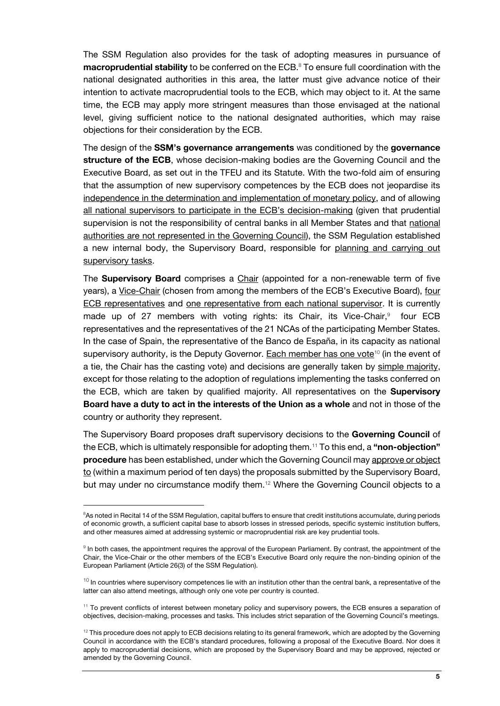The SSM Regulation also provides for the task of adopting measures in pursuance of **macroprudential stability** to be conferred on the ECB.<sup>8</sup> To ensure full coordination with the national designated authorities in this area, the latter must give advance notice of their intention to activate macroprudential tools to the ECB, which may object to it. At the same time, the ECB may apply more stringent measures than those envisaged at the national level, giving sufficient notice to the national designated authorities, which may raise objections for their consideration by the ECB.

The design of the **SSM's governance arrangements** was conditioned by the **governance structure of the ECB**, whose decision-making bodies are the Governing Council and the Executive Board, as set out in the TFEU and its Statute. With the two-fold aim of ensuring that the assumption of new supervisory competences by the ECB does not jeopardise its independence in the determination and implementation of monetary policy, and of allowing all national supervisors to participate in the ECB's decision-making (given that prudential supervision is not the responsibility of central banks in all Member States and that national authorities are not represented in the Governing Council), the SSM Regulation established a new internal body, the Supervisory Board, responsible for planning and carrying out supervisory tasks.

The **Supervisory Board** comprises a Chair (appointed for a non-renewable term of five years), a Vice-Chair (chosen from among the members of the ECB's Executive Board), four ECB representatives and one representative from each national supervisor. It is currently made up of 27 members with voting rights: its Chair, its Vice-Chair, $9$  four ECB representatives and the representatives of the 21 NCAs of the participating Member States. In the case of Spain, the representative of the Banco de España, in its capacity as national supervisory authority, is the Deputy Governor. Each member has one vote<sup>10</sup> (in the event of a tie, the Chair has the casting vote) and decisions are generally taken by simple majority, except for those relating to the adoption of regulations implementing the tasks conferred on the ECB, which are taken by qualified majority. All representatives on the **Supervisory Board have a duty to act in the interests of the Union as a whole** and not in those of the country or authority they represent.

The Supervisory Board proposes draft supervisory decisions to the **Governing Council** of the ECB, which is ultimately responsible for adopting them.<sup>11</sup> To this end, a **"non-objection" procedure** has been established, under which the Governing Council may approve or object to (within a maximum period of ten days) the proposals submitted by the Supervisory Board, but may under no circumstance modify them.<sup>12</sup> Where the Governing Council objects to a

<sup>&</sup>lt;sup>8</sup>As noted in Recital 14 of the SSM Regulation, capital buffers to ensure that credit institutions accumulate, during periods of economic growth, a sufficient capital base to absorb losses in stressed periods, specific systemic institution buffers, and other measures aimed at addressing systemic or macroprudential risk are key prudential tools.

<sup>&</sup>lt;sup>9</sup> In both cases, the appointment requires the approval of the European Parliament. By contrast, the appointment of the Chair, the Vice-Chair or the other members of the ECB's Executive Board only require the non-binding opinion of the European Parliament (Article 26(3) of the SSM Regulation).

 $10$  In countries where supervisory competences lie with an institution other than the central bank, a representative of the latter can also attend meetings, although only one vote per country is counted.

 $11$  To prevent conflicts of interest between monetary policy and supervisory powers, the ECB ensures a separation of objectives, decision-making, processes and tasks. This includes strict separation of the Governing Council's meetings.

 $12$  This procedure does not apply to ECB decisions relating to its general framework, which are adopted by the Governing Council in accordance with the ECB's standard procedures, following a proposal of the Executive Board. Nor does it apply to macroprudential decisions, which are proposed by the Supervisory Board and may be approved, rejected or amended by the Governing Council.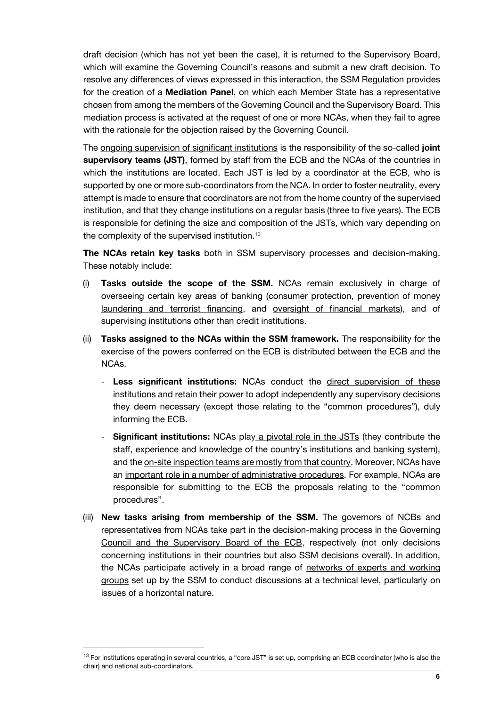draft decision (which has not yet been the case), it is returned to the Supervisory Board, which will examine the Governing Council's reasons and submit a new draft decision. To resolve any differences of views expressed in this interaction, the SSM Regulation provides for the creation of a **Mediation Panel**, on which each Member State has a representative chosen from among the members of the Governing Council and the Supervisory Board. This mediation process is activated at the request of one or more NCAs, when they fail to agree with the rationale for the objection raised by the Governing Council.

The ongoing supervision of significant institutions is the responsibility of the so-called **joint supervisory teams (JST)**, formed by staff from the ECB and the NCAs of the countries in which the institutions are located. Each JST is led by a coordinator at the ECB, who is supported by one or more sub-coordinators from the NCA. In order to foster neutrality, every attempt is made to ensure that coordinators are not from the home country of the supervised institution, and that they change institutions on a regular basis (three to five years). The ECB is responsible for defining the size and composition of the JSTs, which vary depending on the complexity of the supervised institution.<sup>13</sup>

**The NCAs retain key tasks** both in SSM supervisory processes and decision-making. These notably include:

- (i) **Tasks outside the scope of the SSM.** NCAs remain exclusively in charge of overseeing certain key areas of banking (consumer protection, prevention of money laundering and terrorist financing, and oversight of financial markets), and of supervising institutions other than credit institutions.
- (ii) **Tasks assigned to the NCAs within the SSM framework.** The responsibility for the exercise of the powers conferred on the ECB is distributed between the ECB and the NCAs.
	- **Less significant institutions:** NCAs conduct the direct supervision of these institutions and retain their power to adopt independently any supervisory decisions they deem necessary (except those relating to the "common procedures"), duly informing the ECB.
	- **Significant institutions:** NCAs play a pivotal role in the JSTs (they contribute the staff, experience and knowledge of the country's institutions and banking system), and the on-site inspection teams are mostly from that country. Moreover, NCAs have an important role in a number of administrative procedures. For example, NCAs are responsible for submitting to the ECB the proposals relating to the "common procedures".
- (iii) **New tasks arising from membership of the SSM.** The governors of NCBs and representatives from NCAs take part in the decision-making process in the Governing Council and the Supervisory Board of the ECB, respectively (not only decisions concerning institutions in their countries but also SSM decisions overall). In addition, the NCAs participate actively in a broad range of networks of experts and working groups set up by the SSM to conduct discussions at a technical level, particularly on issues of a horizontal nature.

j

 $13$  For institutions operating in several countries, a "core JST" is set up, comprising an ECB coordinator (who is also the chair) and national sub-coordinators.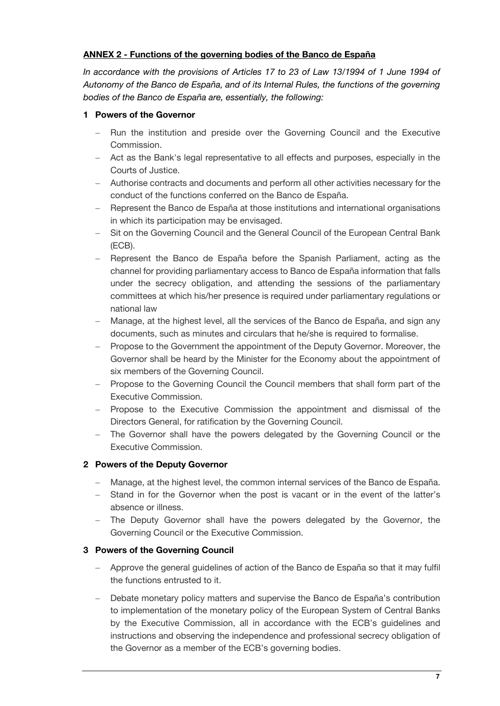## **ANNEX 2 - Functions of the governing bodies of the Banco de España**

*In accordance with the provisions of Articles 17 to 23 of Law 13/1994 of 1 June 1994 of Autonomy of the Banco de España, and of its Internal Rules, the functions of the governing bodies of the Banco de España are, essentially, the following:*

## **1 Powers of the Governor**

- Run the institution and preside over the Governing Council and the Executive Commission.
- Act as the Bank's legal representative to all effects and purposes, especially in the Courts of Justice.
- Authorise contracts and documents and perform all other activities necessary for the conduct of the functions conferred on the Banco de España.
- Represent the Banco de España at those institutions and international organisations in which its participation may be envisaged.
- Sit on the Governing Council and the General Council of the European Central Bank (ECB).
- Represent the Banco de España before the Spanish Parliament, acting as the channel for providing parliamentary access to Banco de España information that falls under the secrecy obligation, and attending the sessions of the parliamentary committees at which his/her presence is required under parliamentary regulations or national law
- Manage, at the highest level, all the services of the Banco de España, and sign any documents, such as minutes and circulars that he/she is required to formalise.
- Propose to the Government the appointment of the Deputy Governor. Moreover, the Governor shall be heard by the Minister for the Economy about the appointment of six members of the Governing Council.
- Propose to the Governing Council the Council members that shall form part of the Executive Commission.
- Propose to the Executive Commission the appointment and dismissal of the Directors General, for ratification by the Governing Council.
- The Governor shall have the powers delegated by the Governing Council or the Executive Commission.

# **2 Powers of the Deputy Governor**

- Manage, at the highest level, the common internal services of the Banco de España.
- Stand in for the Governor when the post is vacant or in the event of the latter's absence or illness.
- The Deputy Governor shall have the powers delegated by the Governor, the Governing Council or the Executive Commission.

## **3 Powers of the Governing Council**

- Approve the general guidelines of action of the Banco de España so that it may fulfil the functions entrusted to it.
- Debate monetary policy matters and supervise the Banco de España's contribution to implementation of the monetary policy of the European System of Central Banks by the Executive Commission, all in accordance with the ECB's guidelines and instructions and observing the independence and professional secrecy obligation of the Governor as a member of the ECB's governing bodies.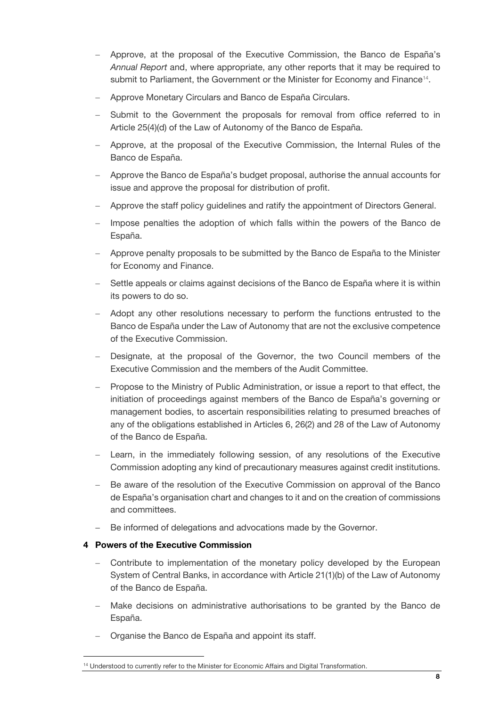- Approve, at the proposal of the Executive Commission, the Banco de España's *Annual Report* and, where appropriate, any other reports that it may be required to submit to Parliament, the Government or the Minister for Economy and Finance<sup>14</sup>.
- Approve Monetary Circulars and Banco de España Circulars.
- Submit to the Government the proposals for removal from office referred to in Article 25(4)(d) of the Law of Autonomy of the Banco de España.
- Approve, at the proposal of the Executive Commission, the Internal Rules of the Banco de España.
- Approve the Banco de España's budget proposal, authorise the annual accounts for issue and approve the proposal for distribution of profit.
- Approve the staff policy guidelines and ratify the appointment of Directors General.
- Impose penalties the adoption of which falls within the powers of the Banco de España.
- Approve penalty proposals to be submitted by the Banco de España to the Minister for Economy and Finance.
- Settle appeals or claims against decisions of the Banco de España where it is within its powers to do so.
- Adopt any other resolutions necessary to perform the functions entrusted to the Banco de España under the Law of Autonomy that are not the exclusive competence of the Executive Commission.
- Designate, at the proposal of the Governor, the two Council members of the Executive Commission and the members of the Audit Committee.
- Propose to the Ministry of Public Administration, or issue a report to that effect, the initiation of proceedings against members of the Banco de España's governing or management bodies, to ascertain responsibilities relating to presumed breaches of any of the obligations established in Articles 6, 26(2) and 28 of the Law of Autonomy of the Banco de España.
- Learn, in the immediately following session, of any resolutions of the Executive Commission adopting any kind of precautionary measures against credit institutions.
- Be aware of the resolution of the Executive Commission on approval of the Banco de España's organisation chart and changes to it and on the creation of commissions and committees.
- Be informed of delegations and advocations made by the Governor.

## **4 Powers of the Executive Commission**

- Contribute to implementation of the monetary policy developed by the European System of Central Banks, in accordance with Article 21(1)(b) of the Law of Autonomy of the Banco de España.
- Make decisions on administrative authorisations to be granted by the Banco de España.
- Organise the Banco de España and appoint its staff.

<sup>&</sup>lt;sup>14</sup> Understood to currently refer to the Minister for Economic Affairs and Digital Transformation.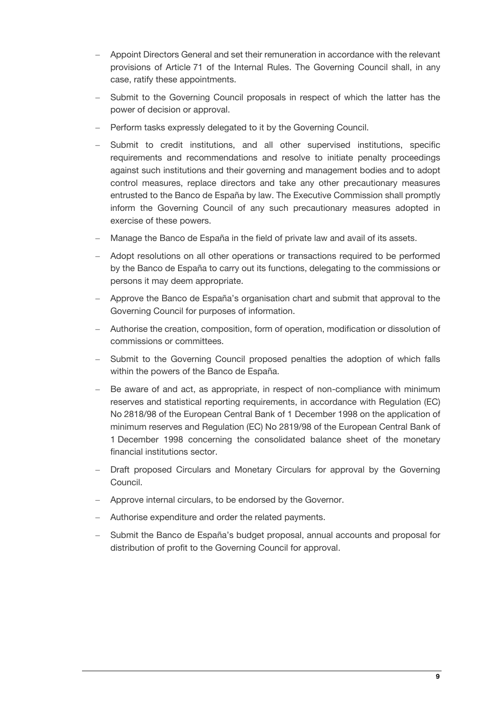- Appoint Directors General and set their remuneration in accordance with the relevant provisions of Article 71 of the Internal Rules. The Governing Council shall, in any case, ratify these appointments.
- Submit to the Governing Council proposals in respect of which the latter has the power of decision or approval.
- Perform tasks expressly delegated to it by the Governing Council.
- Submit to credit institutions, and all other supervised institutions, specific requirements and recommendations and resolve to initiate penalty proceedings against such institutions and their governing and management bodies and to adopt control measures, replace directors and take any other precautionary measures entrusted to the Banco de España by law. The Executive Commission shall promptly inform the Governing Council of any such precautionary measures adopted in exercise of these powers.
- Manage the Banco de España in the field of private law and avail of its assets.
- Adopt resolutions on all other operations or transactions required to be performed by the Banco de España to carry out its functions, delegating to the commissions or persons it may deem appropriate.
- Approve the Banco de España's organisation chart and submit that approval to the Governing Council for purposes of information.
- Authorise the creation, composition, form of operation, modification or dissolution of commissions or committees.
- Submit to the Governing Council proposed penalties the adoption of which falls within the powers of the Banco de España.
- Be aware of and act, as appropriate, in respect of non-compliance with minimum reserves and statistical reporting requirements, in accordance with Regulation (EC) No 2818/98 of the European Central Bank of 1 December 1998 on the application of minimum reserves and Regulation (EC) No 2819/98 of the European Central Bank of 1 December 1998 concerning the consolidated balance sheet of the monetary financial institutions sector.
- Draft proposed Circulars and Monetary Circulars for approval by the Governing Council.
- Approve internal circulars, to be endorsed by the Governor.
- Authorise expenditure and order the related payments.
- Submit the Banco de España's budget proposal, annual accounts and proposal for distribution of profit to the Governing Council for approval.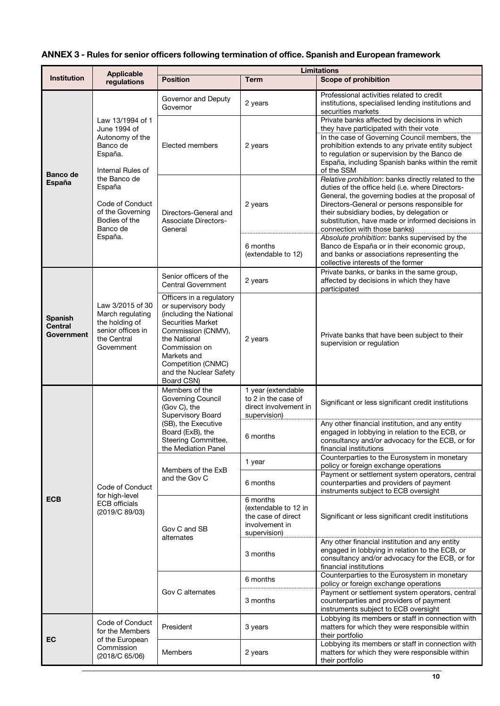# **ANNEX 3 - Rules for senior officers following termination of office. Spanish and European framework**

|                                                | <b>Applicable</b>                                                                                                                                                                                        | <b>Limitations</b>                                                                                                                                                                                                                         |                                                                                          |                                                                                                                                                                                                                                                                                                                                              |  |
|------------------------------------------------|----------------------------------------------------------------------------------------------------------------------------------------------------------------------------------------------------------|--------------------------------------------------------------------------------------------------------------------------------------------------------------------------------------------------------------------------------------------|------------------------------------------------------------------------------------------|----------------------------------------------------------------------------------------------------------------------------------------------------------------------------------------------------------------------------------------------------------------------------------------------------------------------------------------------|--|
| <b>Institution</b>                             | regulations                                                                                                                                                                                              | <b>Position</b>                                                                                                                                                                                                                            | <b>Term</b>                                                                              | <b>Scope of prohibition</b>                                                                                                                                                                                                                                                                                                                  |  |
| <b>Banco de</b><br>España                      | Law 13/1994 of 1<br>June 1994 of<br>Autonomy of the<br>Banco de<br>España.<br>Internal Rules of<br>the Banco de<br>España<br>Code of Conduct<br>of the Governing<br>Bodies of the<br>Banco de<br>España. | Governor and Deputy<br>Governor                                                                                                                                                                                                            | 2 years                                                                                  | Professional activities related to credit<br>institutions, specialised lending institutions and<br>securities markets                                                                                                                                                                                                                        |  |
|                                                |                                                                                                                                                                                                          | Elected members                                                                                                                                                                                                                            | 2 years                                                                                  | Private banks affected by decisions in which<br>they have participated with their vote<br>In the case of Governing Council members, the<br>prohibition extends to any private entity subject<br>to regulation or supervision by the Banco de<br>España, including Spanish banks within the remit<br>of the SSM                               |  |
|                                                |                                                                                                                                                                                                          | Directors-General and<br><b>Associate Directors-</b><br>General                                                                                                                                                                            | 2 years                                                                                  | Relative prohibition: banks directly related to the<br>duties of the office held (i.e. where Directors-<br>General, the governing bodies at the proposal of<br>Directors-General or persons responsible for<br>their subsidiary bodies, by delegation or<br>substitution, have made or informed decisions in<br>connection with those banks) |  |
|                                                |                                                                                                                                                                                                          |                                                                                                                                                                                                                                            | 6 months<br>(extendable to 12)                                                           | Absolute prohibition: banks supervised by the<br>Banco de España or in their economic group,<br>and banks or associations representing the<br>collective interests of the former                                                                                                                                                             |  |
| <b>Spanish</b><br><b>Central</b><br>Government | Law 3/2015 of 30<br>March regulating<br>the holding of<br>senior offices in<br>the Central<br>Government                                                                                                 | Senior officers of the<br>Central Government                                                                                                                                                                                               | 2 years                                                                                  | Private banks, or banks in the same group,<br>affected by decisions in which they have<br>participated                                                                                                                                                                                                                                       |  |
|                                                |                                                                                                                                                                                                          | Officers in a regulatory<br>or supervisory body<br>(including the National<br><b>Securities Market</b><br>Commission (CNMV),<br>the National<br>Commission on<br>Markets and<br>Competition (CNMC)<br>and the Nuclear Safety<br>Board CSN) | 2 years                                                                                  | Private banks that have been subject to their<br>supervision or regulation                                                                                                                                                                                                                                                                   |  |
|                                                | Code of Conduct<br>for high-level<br><b>ECB</b> officials<br>(2019/C 89/03)                                                                                                                              | Members of the<br>Governing Council<br>(Gov C), the<br>Supervisory Board<br>(SB), the Executive<br>Board (ExB), the<br>Steering Committee,<br>the Mediation Panel                                                                          | 1 year (extendable<br>to 2 in the case of<br>direct involvement in<br>supervision)       | Significant or less significant credit institutions                                                                                                                                                                                                                                                                                          |  |
|                                                |                                                                                                                                                                                                          |                                                                                                                                                                                                                                            | 6 months                                                                                 | Any other financial institution, and any entity<br>engaged in lobbying in relation to the ECB, or<br>consultancy and/or advocacy for the ECB, or for<br>financial institutions                                                                                                                                                               |  |
|                                                |                                                                                                                                                                                                          | Members of the ExB<br>and the Gov C                                                                                                                                                                                                        | 1 year                                                                                   | Counterparties to the Eurosystem in monetary<br>policy or foreign exchange operations                                                                                                                                                                                                                                                        |  |
| <b>ECB</b>                                     |                                                                                                                                                                                                          |                                                                                                                                                                                                                                            | 6 months                                                                                 | Payment or settlement system operators, central<br>counterparties and providers of payment<br>instruments subject to ECB oversight                                                                                                                                                                                                           |  |
|                                                |                                                                                                                                                                                                          | Gov C and SB<br>alternates                                                                                                                                                                                                                 | 6 months<br>(extendable to 12 in<br>the case of direct<br>involvement in<br>supervision) | Significant or less significant credit institutions                                                                                                                                                                                                                                                                                          |  |
|                                                |                                                                                                                                                                                                          |                                                                                                                                                                                                                                            | 3 months                                                                                 | Any other financial institution and any entity<br>engaged in lobbying in relation to the ECB, or<br>consultancy and/or advocacy for the ECB, or for<br>financial institutions                                                                                                                                                                |  |
|                                                |                                                                                                                                                                                                          | Gov C alternates                                                                                                                                                                                                                           | 6 months                                                                                 | Counterparties to the Eurosystem in monetary<br>policy or foreign exchange operations                                                                                                                                                                                                                                                        |  |
|                                                |                                                                                                                                                                                                          |                                                                                                                                                                                                                                            | 3 months                                                                                 | Payment or settlement system operators, central<br>counterparties and providers of payment<br>instruments subject to ECB oversight                                                                                                                                                                                                           |  |
| EC                                             | Code of Conduct<br>for the Members<br>of the European<br>Commission<br>(2018/C 65/06)                                                                                                                    | President                                                                                                                                                                                                                                  | 3 years                                                                                  | Lobbying its members or staff in connection with<br>matters for which they were responsible within<br>their portfolio                                                                                                                                                                                                                        |  |
|                                                |                                                                                                                                                                                                          | Members                                                                                                                                                                                                                                    | 2 years                                                                                  | Lobbying its members or staff in connection with<br>matters for which they were responsible within<br>their portfolio                                                                                                                                                                                                                        |  |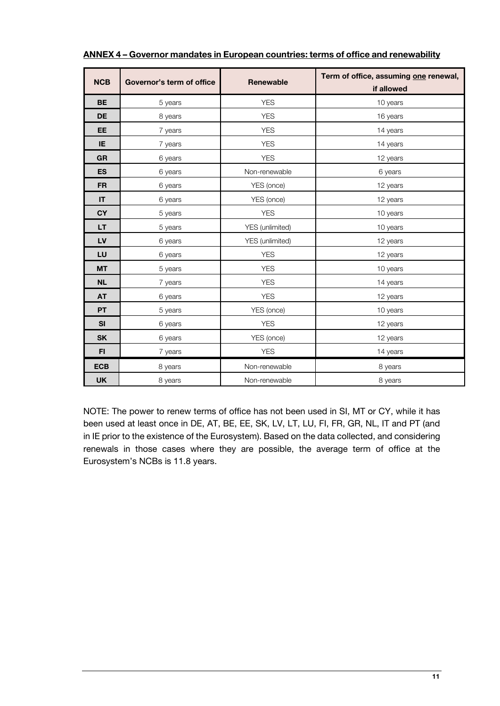| <b>NCB</b> | Governor's term of office | <b>Renewable</b> | Term of office, assuming one renewal,<br>if allowed |
|------------|---------------------------|------------------|-----------------------------------------------------|
| <b>BE</b>  | 5 years                   | <b>YES</b>       | 10 years                                            |
| DE         | 8 years                   | <b>YES</b>       | 16 years                                            |
| <b>EE</b>  | 7 years                   | <b>YES</b>       | 14 years                                            |
| IE         | 7 years                   | <b>YES</b>       | 14 years                                            |
| <b>GR</b>  | 6 years                   | <b>YES</b>       | 12 years                                            |
| <b>ES</b>  | 6 years                   | Non-renewable    | 6 years                                             |
| <b>FR</b>  | 6 years                   | YES (once)       | 12 years                                            |
| IT         | 6 years                   | YES (once)       | 12 years                                            |
| <b>CY</b>  | 5 years                   | <b>YES</b>       | 10 years                                            |
| LT.        | 5 years                   | YES (unlimited)  | 10 years                                            |
| LV         | 6 years                   | YES (unlimited)  | 12 years                                            |
| LU         | 6 years                   | <b>YES</b>       | 12 years                                            |
| <b>MT</b>  | 5 years                   | <b>YES</b>       | 10 years                                            |
| <b>NL</b>  | 7 years                   | <b>YES</b>       | 14 years                                            |
| <b>AT</b>  | 6 years                   | <b>YES</b>       | 12 years                                            |
| PT         | 5 years                   | YES (once)       | 10 years                                            |
| SI         | 6 years                   | <b>YES</b>       | 12 years                                            |
| <b>SK</b>  | 6 years                   | YES (once)       | 12 years                                            |
| F1         | 7 years                   | <b>YES</b>       | 14 years                                            |
| <b>ECB</b> | 8 years                   | Non-renewable    | 8 years                                             |
| <b>UK</b>  | 8 years                   | Non-renewable    | 8 years                                             |

#### **ANNEX 4 – Governor mandates in European countries: terms of office and renewability**

NOTE: The power to renew terms of office has not been used in SI, MT or CY, while it has been used at least once in DE, AT, BE, EE, SK, LV, LT, LU, FI, FR, GR, NL, IT and PT (and in IE prior to the existence of the Eurosystem). Based on the data collected, and considering renewals in those cases where they are possible, the average term of office at the Eurosystem's NCBs is 11.8 years.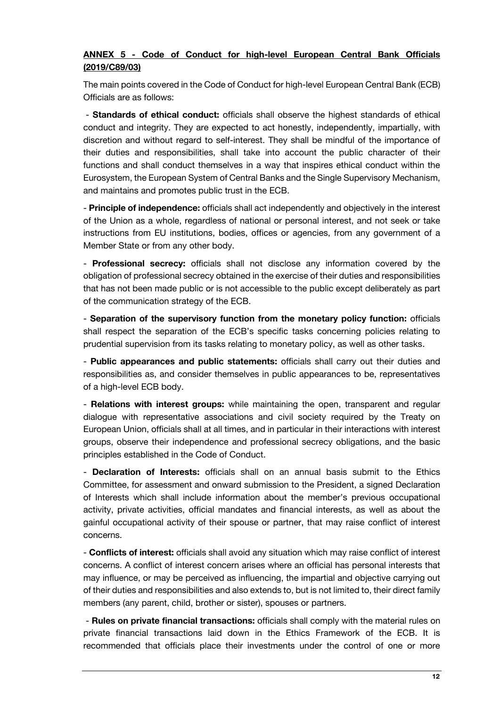# **ANNEX 5 - Code of Conduct for high-level European Central Bank Officials (2019/C89/03)**

The main points covered in the Code of Conduct for high-level European Central Bank (ECB) Officials are as follows:

- **Standards of ethical conduct:** officials shall observe the highest standards of ethical conduct and integrity. They are expected to act honestly, independently, impartially, with discretion and without regard to self-interest. They shall be mindful of the importance of their duties and responsibilities, shall take into account the public character of their functions and shall conduct themselves in a way that inspires ethical conduct within the Eurosystem, the European System of Central Banks and the Single Supervisory Mechanism, and maintains and promotes public trust in the ECB.

- **Principle of independence:** officials shall act independently and objectively in the interest of the Union as a whole, regardless of national or personal interest, and not seek or take instructions from EU institutions, bodies, offices or agencies, from any government of a Member State or from any other body.

- **Professional secrecy:** officials shall not disclose any information covered by the obligation of professional secrecy obtained in the exercise of their duties and responsibilities that has not been made public or is not accessible to the public except deliberately as part of the communication strategy of the ECB.

- **Separation of the supervisory function from the monetary policy function:** officials shall respect the separation of the ECB's specific tasks concerning policies relating to prudential supervision from its tasks relating to monetary policy, as well as other tasks.

- **Public appearances and public statements:** officials shall carry out their duties and responsibilities as, and consider themselves in public appearances to be, representatives of a high-level ECB body.

- **Relations with interest groups:** while maintaining the open, transparent and regular dialogue with representative associations and civil society required by the Treaty on European Union, officials shall at all times, and in particular in their interactions with interest groups, observe their independence and professional secrecy obligations, and the basic principles established in the Code of Conduct.

- **Declaration of Interests:** officials shall on an annual basis submit to the Ethics Committee, for assessment and onward submission to the President, a signed Declaration of Interests which shall include information about the member's previous occupational activity, private activities, official mandates and financial interests, as well as about the gainful occupational activity of their spouse or partner, that may raise conflict of interest concerns.

- **Conflicts of interest:** officials shall avoid any situation which may raise conflict of interest concerns. A conflict of interest concern arises where an official has personal interests that may influence, or may be perceived as influencing, the impartial and objective carrying out of their duties and responsibilities and also extends to, but is not limited to, their direct family members (any parent, child, brother or sister), spouses or partners.

- **Rules on private financial transactions:** officials shall comply with the material rules on private financial transactions laid down in the Ethics Framework of the ECB. It is recommended that officials place their investments under the control of one or more